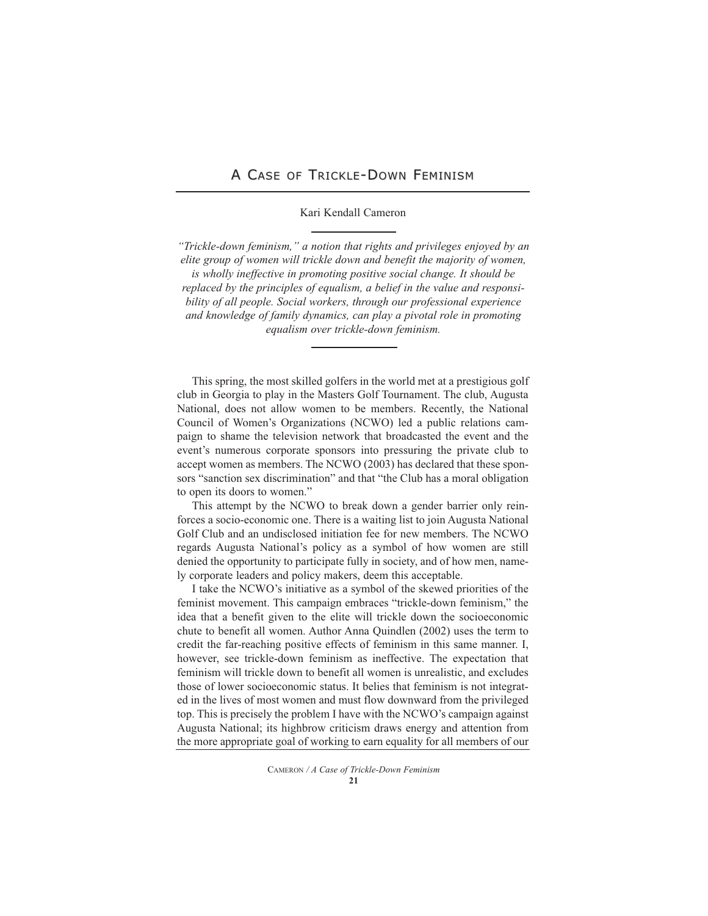## A CASE OF TRICKLE-DOWN FEMINISM

## Kari Kendall Cameron

*"Trickle-down feminism," a notion that rights and privileges enjoyed by an elite group of women will trickle down and benefit the majority of women, is wholly ineffective in promoting positive social change. It should be replaced by the principles of equalism, a belief in the value and responsibility of all people. Social workers, through our professional experience and knowledge of family dynamics, can play a pivotal role in promoting equalism over trickle-down feminism.*

This spring, the most skilled golfers in the world met at a prestigious golf club in Georgia to play in the Masters Golf Tournament. The club, Augusta National, does not allow women to be members. Recently, the National Council of Women's Organizations (NCWO) led a public relations campaign to shame the television network that broadcasted the event and the event's numerous corporate sponsors into pressuring the private club to accept women as members. The NCWO (2003) has declared that these sponsors "sanction sex discrimination" and that "the Club has a moral obligation to open its doors to women."

This attempt by the NCWO to break down a gender barrier only reinforces a socio-economic one. There is a waiting list to join Augusta National Golf Club and an undisclosed initiation fee for new members. The NCWO regards Augusta National's policy as a symbol of how women are still denied the opportunity to participate fully in society, and of how men, namely corporate leaders and policy makers, deem this acceptable.

I take the NCWO's initiative as a symbol of the skewed priorities of the feminist movement. This campaign embraces "trickle-down feminism," the idea that a benefit given to the elite will trickle down the socioeconomic chute to benefit all women. Author Anna Quindlen (2002) uses the term to credit the far-reaching positive effects of feminism in this same manner. I, however, see trickle-down feminism as ineffective. The expectation that feminism will trickle down to benefit all women is unrealistic, and excludes those of lower socioeconomic status. It belies that feminism is not integrated in the lives of most women and must flow downward from the privileged top. This is precisely the problem I have with the NCWO's campaign against Augusta National; its highbrow criticism draws energy and attention from the more appropriate goal of working to earn equality for all members of our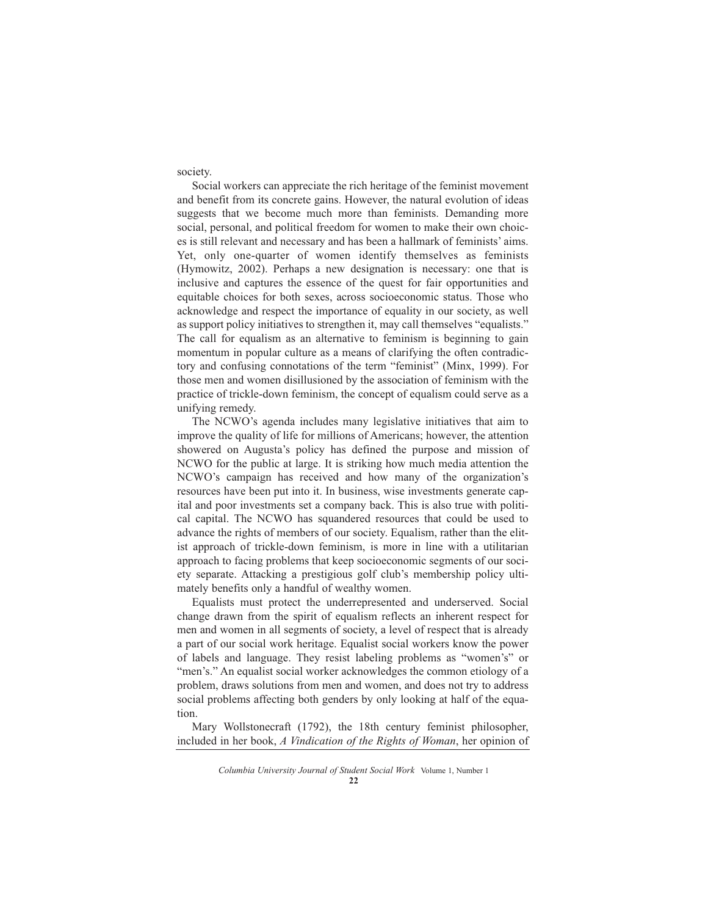society.

Social workers can appreciate the rich heritage of the feminist movement and benefit from its concrete gains. However, the natural evolution of ideas suggests that we become much more than feminists. Demanding more social, personal, and political freedom for women to make their own choices is still relevant and necessary and has been a hallmark of feminists' aims. Yet, only one-quarter of women identify themselves as feminists (Hymowitz, 2002). Perhaps a new designation is necessary: one that is inclusive and captures the essence of the quest for fair opportunities and equitable choices for both sexes, across socioeconomic status. Those who acknowledge and respect the importance of equality in our society, as well as support policy initiatives to strengthen it, may call themselves "equalists." The call for equalism as an alternative to feminism is beginning to gain momentum in popular culture as a means of clarifying the often contradictory and confusing connotations of the term "feminist" (Minx, 1999). For those men and women disillusioned by the association of feminism with the practice of trickle-down feminism, the concept of equalism could serve as a unifying remedy.

The NCWO's agenda includes many legislative initiatives that aim to improve the quality of life for millions of Americans; however, the attention showered on Augusta's policy has defined the purpose and mission of NCWO for the public at large. It is striking how much media attention the NCWO's campaign has received and how many of the organization's resources have been put into it. In business, wise investments generate capital and poor investments set a company back. This is also true with political capital. The NCWO has squandered resources that could be used to advance the rights of members of our society. Equalism, rather than the elitist approach of trickle-down feminism, is more in line with a utilitarian approach to facing problems that keep socioeconomic segments of our society separate. Attacking a prestigious golf club's membership policy ultimately benefits only a handful of wealthy women.

Equalists must protect the underrepresented and underserved. Social change drawn from the spirit of equalism reflects an inherent respect for men and women in all segments of society, a level of respect that is already a part of our social work heritage. Equalist social workers know the power of labels and language. They resist labeling problems as "women's" or "men's." An equalist social worker acknowledges the common etiology of a problem, draws solutions from men and women, and does not try to address social problems affecting both genders by only looking at half of the equation.

Mary Wollstonecraft (1792), the 18th century feminist philosopher, included in her book, *A Vindication of the Rights of Woman*, her opinion of

*Columbia University Journal of Student Social Work* Volume 1, Number 1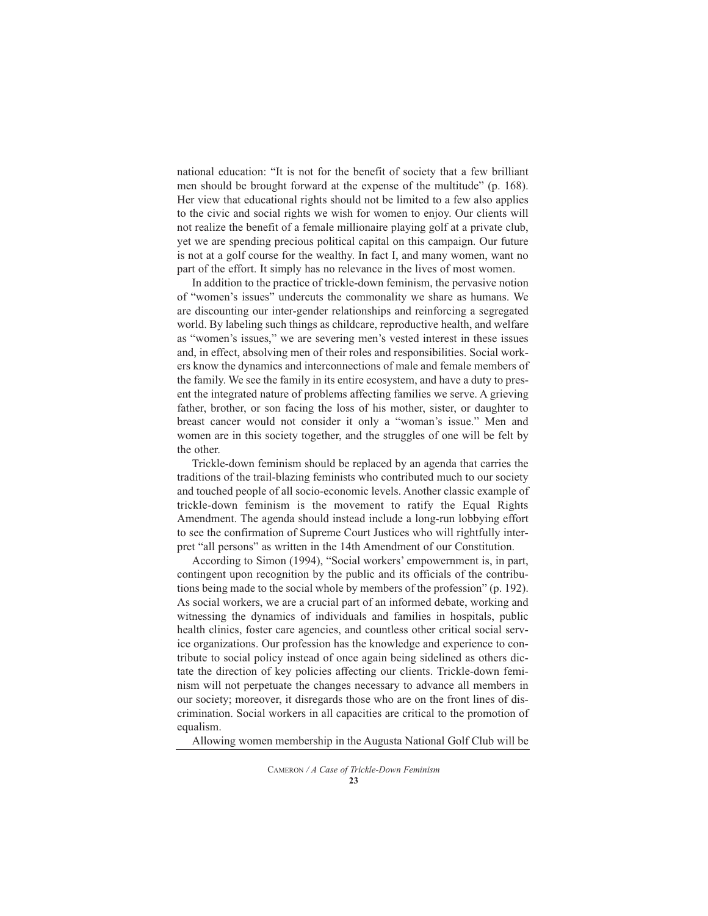national education: "It is not for the benefit of society that a few brilliant men should be brought forward at the expense of the multitude" (p. 168). Her view that educational rights should not be limited to a few also applies to the civic and social rights we wish for women to enjoy. Our clients will not realize the benefit of a female millionaire playing golf at a private club, yet we are spending precious political capital on this campaign. Our future is not at a golf course for the wealthy. In fact I, and many women, want no part of the effort. It simply has no relevance in the lives of most women.

In addition to the practice of trickle-down feminism, the pervasive notion of "women's issues" undercuts the commonality we share as humans. We are discounting our inter-gender relationships and reinforcing a segregated world. By labeling such things as childcare, reproductive health, and welfare as "women's issues," we are severing men's vested interest in these issues and, in effect, absolving men of their roles and responsibilities. Social workers know the dynamics and interconnections of male and female members of the family. We see the family in its entire ecosystem, and have a duty to present the integrated nature of problems affecting families we serve. A grieving father, brother, or son facing the loss of his mother, sister, or daughter to breast cancer would not consider it only a "woman's issue." Men and women are in this society together, and the struggles of one will be felt by the other.

Trickle-down feminism should be replaced by an agenda that carries the traditions of the trail-blazing feminists who contributed much to our society and touched people of all socio-economic levels. Another classic example of trickle-down feminism is the movement to ratify the Equal Rights Amendment. The agenda should instead include a long-run lobbying effort to see the confirmation of Supreme Court Justices who will rightfully interpret "all persons" as written in the 14th Amendment of our Constitution.

According to Simon (1994), "Social workers' empowernment is, in part, contingent upon recognition by the public and its officials of the contributions being made to the social whole by members of the profession" (p. 192). As social workers, we are a crucial part of an informed debate, working and witnessing the dynamics of individuals and families in hospitals, public health clinics, foster care agencies, and countless other critical social service organizations. Our profession has the knowledge and experience to contribute to social policy instead of once again being sidelined as others dictate the direction of key policies affecting our clients. Trickle-down feminism will not perpetuate the changes necessary to advance all members in our society; moreover, it disregards those who are on the front lines of discrimination. Social workers in all capacities are critical to the promotion of equalism.

Allowing women membership in the Augusta National Golf Club will be